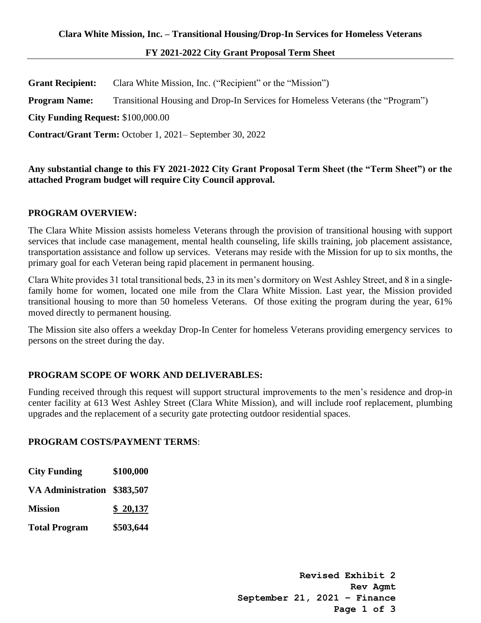# **FY 2021-2022 City Grant Proposal Term Sheet**

**Grant Recipient:** Clara White Mission, Inc. ("Recipient" or the "Mission") **Program Name:** Transitional Housing and Drop-In Services for Homeless Veterans (the "Program") **City Funding Request:** \$100,000.00 **Contract/Grant Term:** October 1, 2021– September 30, 2022

**Any substantial change to this FY 2021-2022 City Grant Proposal Term Sheet (the "Term Sheet") or the attached Program budget will require City Council approval.** 

#### **PROGRAM OVERVIEW:**

The Clara White Mission assists homeless Veterans through the provision of transitional housing with support services that include case management, mental health counseling, life skills training, job placement assistance, transportation assistance and follow up services. Veterans may reside with the Mission for up to six months, the primary goal for each Veteran being rapid placement in permanent housing.

Clara White provides 31 total transitional beds, 23 in its men's dormitory on West Ashley Street, and 8 in a singlefamily home for women, located one mile from the Clara White Mission. Last year, the Mission provided transitional housing to more than 50 homeless Veterans. Of those exiting the program during the year, 61% moved directly to permanent housing.

The Mission site also offers a weekday Drop-In Center for homeless Veterans providing emergency services to persons on the street during the day.

## **PROGRAM SCOPE OF WORK AND DELIVERABLES:**

Funding received through this request will support structural improvements to the men's residence and drop-in center facility at 613 West Ashley Street (Clara White Mission), and will include roof replacement, plumbing upgrades and the replacement of a security gate protecting outdoor residential spaces.

## **PROGRAM COSTS/PAYMENT TERMS**:

| <b>City Funding</b>         | \$100,000 |
|-----------------------------|-----------|
| VA Administration \$383,507 |           |
| <b>Mission</b>              | \$20,137  |
| <b>Total Program</b>        | \$503,644 |

**Revised Exhibit 2 Rev Agmt September 21, 2021 – Finance Page 1 of 3**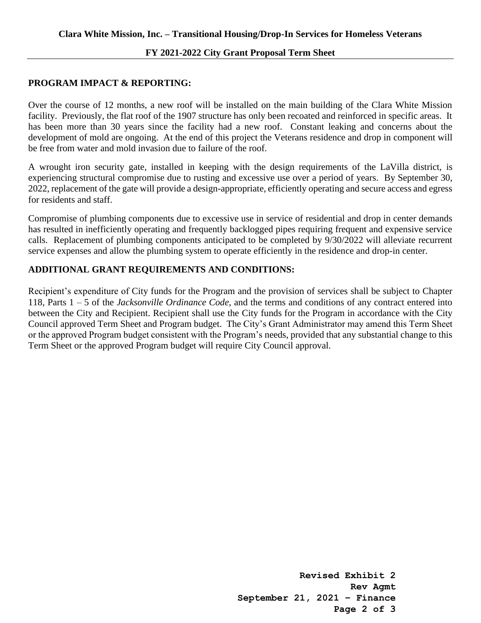#### **FY 2021-2022 City Grant Proposal Term Sheet**

## **PROGRAM IMPACT & REPORTING:**

Over the course of 12 months, a new roof will be installed on the main building of the Clara White Mission facility. Previously, the flat roof of the 1907 structure has only been recoated and reinforced in specific areas. It has been more than 30 years since the facility had a new roof. Constant leaking and concerns about the development of mold are ongoing. At the end of this project the Veterans residence and drop in component will be free from water and mold invasion due to failure of the roof.

A wrought iron security gate, installed in keeping with the design requirements of the LaVilla district, is experiencing structural compromise due to rusting and excessive use over a period of years. By September 30, 2022, replacement of the gate will provide a design-appropriate, efficiently operating and secure access and egress for residents and staff.

Compromise of plumbing components due to excessive use in service of residential and drop in center demands has resulted in inefficiently operating and frequently backlogged pipes requiring frequent and expensive service calls. Replacement of plumbing components anticipated to be completed by 9/30/2022 will alleviate recurrent service expenses and allow the plumbing system to operate efficiently in the residence and drop-in center.

## **ADDITIONAL GRANT REQUIREMENTS AND CONDITIONS:**

Recipient's expenditure of City funds for the Program and the provision of services shall be subject to Chapter 118, Parts 1 – 5 of the *Jacksonville Ordinance Code*, and the terms and conditions of any contract entered into between the City and Recipient. Recipient shall use the City funds for the Program in accordance with the City Council approved Term Sheet and Program budget. The City's Grant Administrator may amend this Term Sheet or the approved Program budget consistent with the Program's needs, provided that any substantial change to this Term Sheet or the approved Program budget will require City Council approval.